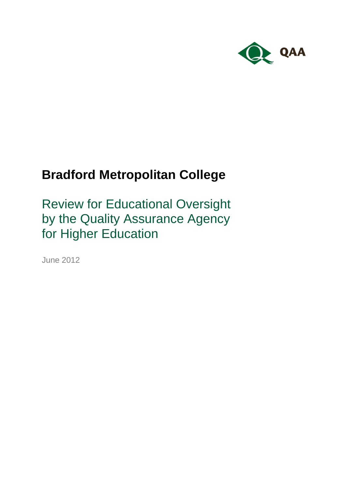

# **Bradford Metropolitan College**

Review for Educational Oversight by the Quality Assurance Agency for Higher Education

June 2012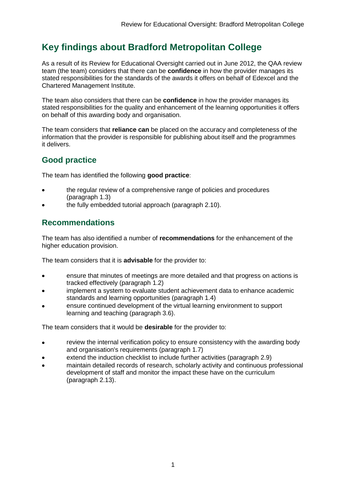## **Key findings about Bradford Metropolitan College**

As a result of its Review for Educational Oversight carried out in June 2012, the QAA review team (the team) considers that there can be **confidence** in how the provider manages its stated responsibilities for the standards of the awards it offers on behalf of Edexcel and the Chartered Management Institute.

The team also considers that there can be **confidence** in how the provider manages its stated responsibilities for the quality and enhancement of the learning opportunities it offers on behalf of this awarding body and organisation.

The team considers that **reliance can** be placed on the accuracy and completeness of the information that the provider is responsible for publishing about itself and the programmes it delivers.

### **Good practice**

The team has identified the following **good practice**:

- the regular review of a comprehensive range of policies and procedures (paragraph 1.3)
- the fully embedded tutorial approach (paragraph 2.10).

### **Recommendations**

The team has also identified a number of **recommendations** for the enhancement of the higher education provision.

The team considers that it is **advisable** for the provider to:

- ensure that minutes of meetings are more detailed and that progress on actions is tracked effectively (paragraph 1.2)
- implement a system to evaluate student achievement data to enhance academic standards and learning opportunities (paragraph 1.4)
- ensure continued development of the virtual learning environment to support learning and teaching (paragraph 3.6).

The team considers that it would be **desirable** for the provider to:

- review the internal verification policy to ensure consistency with the awarding body  $\bullet$ and organisation's requirements (paragraph 1.7)
- extend the induction checklist to include further activities (paragraph 2.9)
- maintain detailed records of research, scholarly activity and continuous professional development of staff and monitor the impact these have on the curriculum (paragraph 2.13).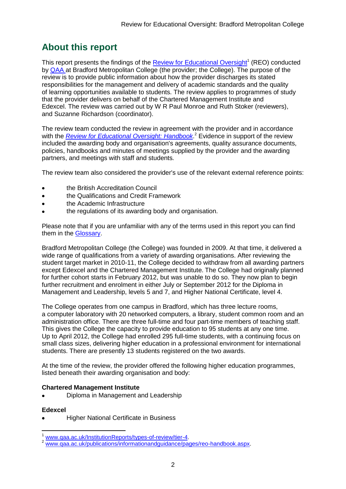## **About this report**

This report presents the findings of the **Review for Educational Oversight**<sup>1</sup> (REO) conducted by QAA at Bradford Metropolitan College (the provider; the College). The purpose of the review is to provide public information about how the provider discharges its stated responsibilities for the management and delivery of academic standards and the quality of learning opportunities available to students. The review applies to programmes of study that the provider delivers on behalf of the Chartered Management Institute and Edexcel. The review was carried out by W R Paul Monroe and Ruth Stoker (reviewers), and Suzanne Richardson (coordinator).

The review team conducted the review in agreement with the provider and in accordance with the *[Review for Educational Oversight: Handbook](file:///C:/Documents%20and%20Settings/j.drayden/Local%20Settings/Temporary%20Internet%20Files/Content.Outlook/F1DNC8XT/Review%20for%20Educational%20Oversight:%20Handbook)*. <sup>2</sup> Evidence in support of the review included the awarding body and organisation's agreements, quality assurance documents, policies, handbooks and minutes of meetings supplied by the provider and the awarding partners, and meetings with staff and students*.* 

The review team also considered the provider's use of the relevant external reference points:

- the British Accreditation Council
- the Qualifications and Credit Framework
- the Academic Infrastructure
- the regulations of its awarding body and organisation.

Please note that if you are unfamiliar with any of the terms used in this report you can find them in the Glossary.

Bradford Metropolitan College (the College) was founded in 2009. At that time, it delivered a wide range of qualifications from a variety of awarding organisations. After reviewing the student target market in 2010-11, the College decided to withdraw from all awarding partners except Edexcel and the Chartered Management Institute. The College had originally planned for further cohort starts in February 2012, but was unable to do so. They now plan to begin further recruitment and enrolment in either July or September 2012 for the Diploma in Management and Leadership, levels 5 and 7, and Higher National Certificate, level 4.

The College operates from one campus in Bradford, which has three lecture rooms, a computer laboratory with 20 networked computers, a library, student common room and an administration office. There are three full-time and four part-time members of teaching staff. This gives the College the capacity to provide education to 95 students at any one time. Up to April 2012, the College had enrolled 295 full-time students, with a continuing focus on small class sizes, delivering higher education in a professional environment for international students. There are presently 13 students registered on the two awards.

At the time of the review, the provider offered the following higher education programmes, listed beneath their awarding organisation and body:

#### **Chartered Management Institute**

Diploma in Management and Leadership  $\bullet$ 

#### **Edexcel**

Higher National Certificate in Business

**<sup>.</sup>** www.gaa.ac.uk/InstitutionReports/types-of-review/tier-4.

www.gaa.ac.uk/publications/informationandguidance/pages/reo-handbook.aspx.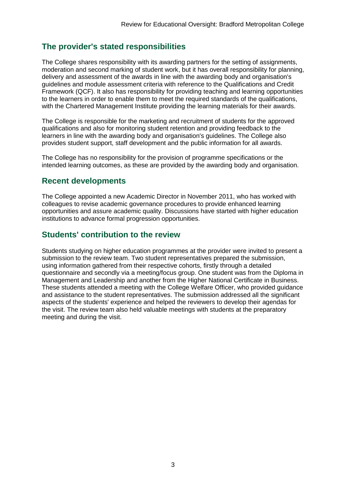### **The provider's stated responsibilities**

The College shares responsibility with its awarding partners for the setting of assignments, moderation and second marking of student work, but it has overall responsibility for planning, delivery and assessment of the awards in line with the awarding body and organisation's guidelines and module assessment criteria with reference to the Qualifications and Credit Framework (QCF). It also has responsibility for providing teaching and learning opportunities to the learners in order to enable them to meet the required standards of the qualifications, with the Chartered Management Institute providing the learning materials for their awards.

The College is responsible for the marketing and recruitment of students for the approved qualifications and also for monitoring student retention and providing feedback to the learners in line with the awarding body and organisation's guidelines. The College also provides student support, staff development and the public information for all awards.

The College has no responsibility for the provision of programme specifications or the intended learning outcomes, as these are provided by the awarding body and organisation.

### **Recent developments**

The College appointed a new Academic Director in November 2011, who has worked with colleagues to revise academic governance procedures to provide enhanced learning opportunities and assure academic quality. Discussions have started with higher education institutions to advance formal progression opportunities.

### **Students' contribution to the review**

Students studying on higher education programmes at the provider were invited to present a submission to the review team. Two student representatives prepared the submission, using information gathered from their respective cohorts, firstly through a detailed questionnaire and secondly via a meeting/focus group. One student was from the Diploma in Management and Leadership and another from the Higher National Certificate in Business. These students attended a meeting with the College Welfare Officer, who provided guidance and assistance to the student representatives. The submission addressed all the significant aspects of the students' experience and helped the reviewers to develop their agendas for the visit. The review team also held valuable meetings with students at the preparatory meeting and during the visit.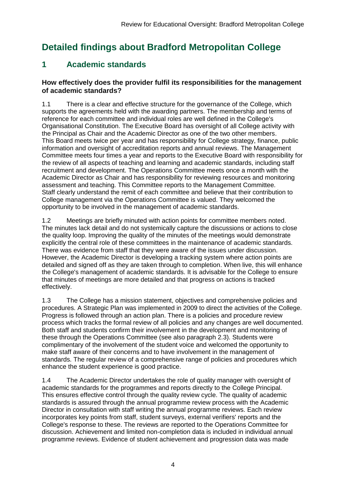## **Detailed findings about Bradford Metropolitan College**

## **1 Academic standards**

#### **How effectively does the provider fulfil its responsibilities for the management of academic standards?**

1.1 There is a clear and effective structure for the governance of the College, which supports the agreements held with the awarding partners. The membership and terms of reference for each committee and individual roles are well defined in the College's Organisational Constitution. The Executive Board has oversight of all College activity with the Principal as Chair and the Academic Director as one of the two other members. This Board meets twice per year and has responsibility for College strategy, finance, public information and oversight of accreditation reports and annual reviews. The Management Committee meets four times a year and reports to the Executive Board with responsibility for the review of all aspects of teaching and learning and academic standards, including staff recruitment and development. The Operations Committee meets once a month with the Academic Director as Chair and has responsibility for reviewing resources and monitoring assessment and teaching. This Committee reports to the Management Committee. Staff clearly understand the remit of each committee and believe that their contribution to College management via the Operations Committee is valued. They welcomed the opportunity to be involved in the management of academic standards.

1.2 Meetings are briefly minuted with action points for committee members noted. The minutes lack detail and do not systemically capture the discussions or actions to close the quality loop. Improving the quality of the minutes of the meetings would demonstrate explicitly the central role of these committees in the maintenance of academic standards. There was evidence from staff that they were aware of the issues under discussion. However, the Academic Director is developing a tracking system where action points are detailed and signed off as they are taken through to completion. When live, this will enhance the College's management of academic standards. It is advisable for the College to ensure that minutes of meetings are more detailed and that progress on actions is tracked effectively.

1.3 The College has a mission statement, objectives and comprehensive policies and procedures. A Strategic Plan was implemented in 2009 to direct the activities of the College. Progress is followed through an action plan. There is a policies and procedure review process which tracks the formal review of all policies and any changes are well documented. Both staff and students confirm their involvement in the development and monitoring of these through the Operations Committee (see also paragraph 2.3). Students were complimentary of the involvement of the student voice and welcomed the opportunity to make staff aware of their concerns and to have involvement in the management of standards. The regular review of a comprehensive range of policies and procedures which enhance the student experience is good practice.

1.4 The Academic Director undertakes the role of quality manager with oversight of academic standards for the programmes and reports directly to the College Principal. This ensures effective control through the quality review cycle. The quality of academic standards is assured through the annual programme review process with the Academic Director in consultation with staff writing the annual programme reviews. Each review incorporates key points from staff, student surveys, external verifiers' reports and the College's response to these. The reviews are reported to the Operations Committee for discussion. Achievement and limited non-completion data is included in individual annual programme reviews. Evidence of student achievement and progression data was made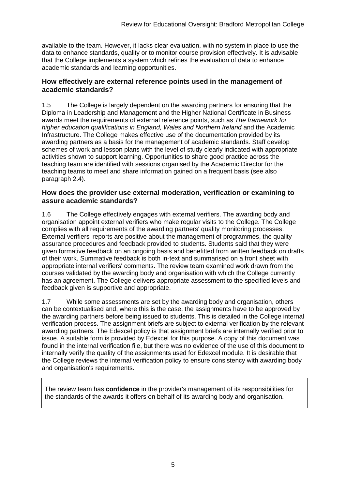available to the team. However, it lacks clear evaluation, with no system in place to use the data to enhance standards, quality or to monitor course provision effectively. It is advisable that the College implements a system which refines the evaluation of data to enhance academic standards and learning opportunities.

#### **How effectively are external reference points used in the management of academic standards?**

1.5 The College is largely dependent on the awarding partners for ensuring that the Diploma in Leadership and Management and the Higher National Certificate in Business awards meet the requirements of external reference points, such as *The framework for higher education qualifications in England, Wales and Northern Ireland* and the Academic Infrastructure. The College makes effective use of the documentation provided by its awarding partners as a basis for the management of academic standards. Staff develop schemes of work and lesson plans with the level of study clearly indicated with appropriate activities shown to support learning. Opportunities to share good practice across the teaching team are identified with sessions organised by the Academic Director for the teaching teams to meet and share information gained on a frequent basis (see also paragraph 2.4).

#### **How does the provider use external moderation, verification or examining to assure academic standards?**

1.6 The College effectively engages with external verifiers. The awarding body and organisation appoint external verifiers who make regular visits to the College. The College complies with all requirements of the awarding partners' quality monitoring processes. External verifiers' reports are positive about the management of programmes, the quality assurance procedures and feedback provided to students. Students said that they were given formative feedback on an ongoing basis and benefitted from written feedback on drafts of their work. Summative feedback is both in-text and summarised on a front sheet with appropriate internal verifiers' comments. The review team examined work drawn from the courses validated by the awarding body and organisation with which the College currently has an agreement. The College delivers appropriate assessment to the specified levels and feedback given is supportive and appropriate.

1.7 While some assessments are set by the awarding body and organisation, others can be contextualised and, where this is the case, the assignments have to be approved by the awarding partners before being issued to students. This is detailed in the College internal verification process. The assignment briefs are subject to external verification by the relevant awarding partners. The Edexcel policy is that assignment briefs are internally verified prior to issue. A suitable form is provided by Edexcel for this purpose. A copy of this document was found in the internal verification file, but there was no evidence of the use of this document to internally verify the quality of the assignments used for Edexcel module. It is desirable that the College reviews the internal verification policy to ensure consistency with awarding body and organisation's requirements.

The review team has **confidence** in the provider's management of its responsibilities for the standards of the awards it offers on behalf of its awarding body and organisation.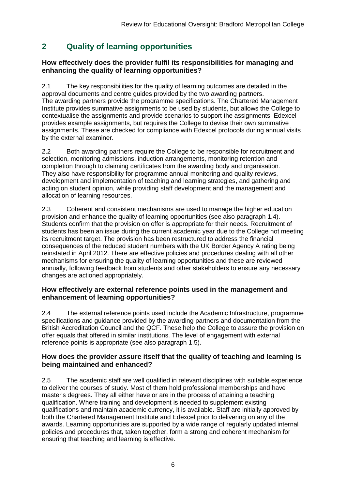## **2 Quality of learning opportunities**

#### **How effectively does the provider fulfil its responsibilities for managing and enhancing the quality of learning opportunities?**

2.1 The key responsibilities for the quality of learning outcomes are detailed in the approval documents and centre guides provided by the two awarding partners. The awarding partners provide the programme specifications. The Chartered Management Institute provides summative assignments to be used by students, but allows the College to contextualise the assignments and provide scenarios to support the assignments. Edexcel provides example assignments, but requires the College to devise their own summative assignments. These are checked for compliance with Edexcel protocols during annual visits by the external examiner.

2.2 Both awarding partners require the College to be responsible for recruitment and selection, monitoring admissions, induction arrangements, monitoring retention and completion through to claiming certificates from the awarding body and organisation. They also have responsibility for programme annual monitoring and quality reviews, development and implementation of teaching and learning strategies, and gathering and acting on student opinion, while providing staff development and the management and allocation of learning resources.

2.3 Coherent and consistent mechanisms are used to manage the higher education provision and enhance the quality of learning opportunities (see also paragraph 1.4). Students confirm that the provision on offer is appropriate for their needs. Recruitment of students has been an issue during the current academic year due to the College not meeting its recruitment target. The provision has been restructured to address the financial consequences of the reduced student numbers with the UK Border Agency A rating being reinstated in April 2012. There are effective policies and procedures dealing with all other mechanisms for ensuring the quality of learning opportunities and these are reviewed annually, following feedback from students and other stakeholders to ensure any necessary changes are actioned appropriately.

#### **How effectively are external reference points used in the management and enhancement of learning opportunities?**

2.4 The external reference points used include the Academic Infrastructure, programme specifications and guidance provided by the awarding partners and documentation from the British Accreditation Council and the QCF. These help the College to assure the provision on offer equals that offered in similar institutions. The level of engagement with external reference points is appropriate (see also paragraph 1.5).

#### **How does the provider assure itself that the quality of teaching and learning is being maintained and enhanced?**

2.5 The academic staff are well qualified in relevant disciplines with suitable experience to deliver the courses of study. Most of them hold professional memberships and have master's degrees. They all either have or are in the process of attaining a teaching qualification. Where training and development is needed to supplement existing qualifications and maintain academic currency, it is available. Staff are initially approved by both the Chartered Management Institute and Edexcel prior to delivering on any of the awards. Learning opportunities are supported by a wide range of regularly updated internal policies and procedures that, taken together, form a strong and coherent mechanism for ensuring that teaching and learning is effective.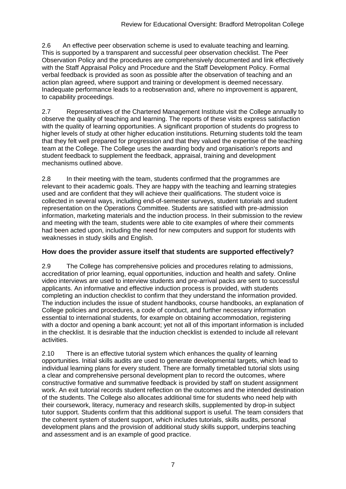2.6 An effective peer observation scheme is used to evaluate teaching and learning. This is supported by a transparent and successful peer observation checklist. The Peer Observation Policy and the procedures are comprehensively documented and link effectively with the Staff Appraisal Policy and Procedure and the Staff Development Policy. Formal verbal feedback is provided as soon as possible after the observation of teaching and an action plan agreed, where support and training or development is deemed necessary. Inadequate performance leads to a reobservation and, where no improvement is apparent, to capability proceedings.

2.7 Representatives of the Chartered Management Institute visit the College annually to observe the quality of teaching and learning. The reports of these visits express satisfaction with the quality of learning opportunities. A significant proportion of students do progress to higher levels of study at other higher education institutions. Returning students told the team that they felt well prepared for progression and that they valued the expertise of the teaching team at the College. The College uses the awarding body and organisation's reports and student feedback to supplement the feedback, appraisal, training and development mechanisms outlined above.

2.8 In their meeting with the team, students confirmed that the programmes are relevant to their academic goals. They are happy with the teaching and learning strategies used and are confident that they will achieve their qualifications. The student voice is collected in several ways, including end-of-semester surveys, student tutorials and student representation on the Operations Committee. Students are satisfied with pre-admission information, marketing materials and the induction process. In their submission to the review and meeting with the team, students were able to cite examples of where their comments had been acted upon, including the need for new computers and support for students with weaknesses in study skills and English.

#### **How does the provider assure itself that students are supported effectively?**

2.9 The College has comprehensive policies and procedures relating to admissions, accreditation of prior learning, equal opportunities, induction and health and safety. Online video interviews are used to interview students and pre-arrival packs are sent to successful applicants. An informative and effective induction process is provided, with students completing an induction checklist to confirm that they understand the information provided. The induction includes the issue of student handbooks, course handbooks, an explanation of College policies and procedures, a code of conduct, and further necessary information essential to international students, for example on obtaining accommodation, registering with a doctor and opening a bank account; yet not all of this important information is included in the checklist. It is desirable that the induction checklist is extended to include all relevant activities.

2.10 There is an effective tutorial system which enhances the quality of learning opportunities. Initial skills audits are used to generate developmental targets, which lead to individual learning plans for every student. There are formally timetabled tutorial slots using a clear and comprehensive personal development plan to record the outcomes, where constructive formative and summative feedback is provided by staff on student assignment work. An exit tutorial records student reflection on the outcomes and the intended destination of the students. The College also allocates additional time for students who need help with their coursework, literacy, numeracy and research skills, supplemented by drop-in subject tutor support. Students confirm that this additional support is useful. The team considers that the coherent system of student support, which includes tutorials, skills audits, personal development plans and the provision of additional study skills support, underpins teaching and assessment and is an example of good practice.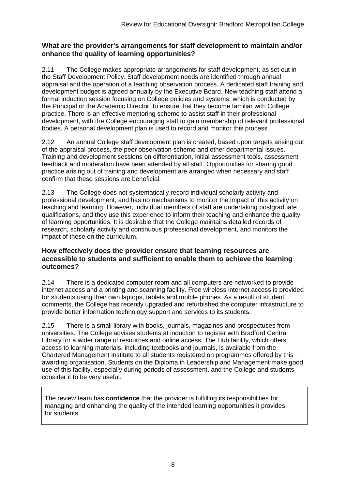#### **What are the provider's arrangements for staff development to maintain and/or enhance the quality of learning opportunities?**

2.11 The College makes appropriate arrangements for staff development, as set out in the Staff Development Policy. Staff development needs are identified through annual appraisal and the operation of a teaching observation process. A dedicated staff training and development budget is agreed annually by the Executive Board. New teaching staff attend a formal induction session focusing on College policies and systems, which is conducted by the Principal or the Academic Director, to ensure that they become familiar with College practice. There is an effective mentoring scheme to assist staff in their professional development, with the College encouraging staff to gain membership of relevant professional bodies. A personal development plan is used to record and monitor this process.

2.12 An annual College staff development plan is created, based upon targets arising out of the appraisal process, the peer observation scheme and other departmental issues. Training and development sessions on differentiation, initial assessment tools, assessment feedback and moderation have been attended by all staff. Opportunities for sharing good practice arising out of training and development are arranged when necessary and staff confirm that these sessions are beneficial.

2.13 The College does not systematically record individual scholarly activity and professional development, and has no mechanisms to monitor the impact of this activity on teaching and learning. However, individual members of staff are undertaking postgraduate qualifications, and they use this experience to inform their teaching and enhance the quality of learning opportunities. It is desirable that the College maintains detailed records of research, scholarly activity and continuous professional development, and monitors the impact of these on the curriculum.

#### **How effectively does the provider ensure that learning resources are accessible to students and sufficient to enable them to achieve the learning outcomes?**

2.14 There is a dedicated computer room and all computers are networked to provide internet access and a printing and scanning facility. Free wireless internet access is provided for students using their own laptops, tablets and mobile phones. As a result of student comments, the College has recently upgraded and refurbished the computer infrastructure to provide better information technology support and services to its students.

2.15 There is a small library with books, journals, magazines and prospectuses from universities. The College advises students at induction to register with Bradford Central Library for a wider range of resources and online access. The Hub facility, which offers access to learning materials, including textbooks and journals, is available from the Chartered Management Institute to all students registered on programmes offered by this awarding organisation. Students on the Diploma in Leadership and Management make good use of this facility, especially during periods of assessment, and the College and students consider it to be very useful.

The review team has **confidence** that the provider is fulfilling its responsibilities for managing and enhancing the quality of the intended learning opportunities it provides for students.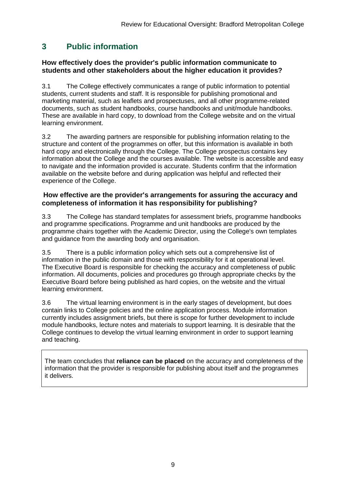## **3 Public information**

#### **How effectively does the provider's public information communicate to students and other stakeholders about the higher education it provides?**

3.1 The College effectively communicates a range of public information to potential students, current students and staff. It is responsible for publishing promotional and marketing material, such as leaflets and prospectuses, and all other programme-related documents, such as student handbooks, course handbooks and unit/module handbooks. These are available in hard copy, to download from the College website and on the virtual learning environment.

3.2 The awarding partners are responsible for publishing information relating to the structure and content of the programmes on offer, but this information is available in both hard copy and electronically through the College. The College prospectus contains key information about the College and the courses available. The website is accessible and easy to navigate and the information provided is accurate. Students confirm that the information available on the website before and during application was helpful and reflected their experience of the College.

#### **How effective are the provider's arrangements for assuring the accuracy and completeness of information it has responsibility for publishing?**

3.3 The College has standard templates for assessment briefs, programme handbooks and programme specifications. Programme and unit handbooks are produced by the programme chairs together with the Academic Director, using the College's own templates and guidance from the awarding body and organisation.

3.5 There is a public information policy which sets out a comprehensive list of information in the public domain and those with responsibility for it at operational level. The Executive Board is responsible for checking the accuracy and completeness of public information. All documents, policies and procedures go through appropriate checks by the Executive Board before being published as hard copies, on the website and the virtual learning environment.

3.6 The virtual learning environment is in the early stages of development, but does contain links to College policies and the online application process. Module information currently includes assignment briefs, but there is scope for further development to include module handbooks, lecture notes and materials to support learning. It is desirable that the College continues to develop the virtual learning environment in order to support learning and teaching.

The team concludes that **reliance can be placed** on the accuracy and completeness of the information that the provider is responsible for publishing about itself and the programmes it delivers.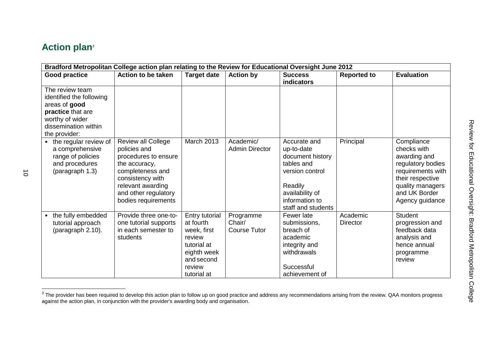## **Action plan** 3

| Bradford Metropolitan College action plan relating to the Review for Educational Oversight June 2012                                          |                                                                                                                                                                                         |                                                                                                                           |                                            |                                                                                                                                                       |                             |                                                                                                                                                                 |
|-----------------------------------------------------------------------------------------------------------------------------------------------|-----------------------------------------------------------------------------------------------------------------------------------------------------------------------------------------|---------------------------------------------------------------------------------------------------------------------------|--------------------------------------------|-------------------------------------------------------------------------------------------------------------------------------------------------------|-----------------------------|-----------------------------------------------------------------------------------------------------------------------------------------------------------------|
| <b>Good practice</b>                                                                                                                          | Action to be taken                                                                                                                                                                      | <b>Target date</b>                                                                                                        | <b>Action by</b>                           | <b>Success</b><br><b>indicators</b>                                                                                                                   | <b>Reported to</b>          | <b>Evaluation</b>                                                                                                                                               |
| The review team<br>identified the following<br>areas of good<br>practice that are<br>worthy of wider<br>dissemination within<br>the provider: |                                                                                                                                                                                         |                                                                                                                           |                                            |                                                                                                                                                       |                             |                                                                                                                                                                 |
| • the regular review of<br>a comprehensive<br>range of policies<br>and procedures<br>(paragraph 1.3)                                          | Review all College<br>policies and<br>procedures to ensure<br>the accuracy,<br>completeness and<br>consistency with<br>relevant awarding<br>and other regulatory<br>bodies requirements | March 2013                                                                                                                | Academic/<br><b>Admin Director</b>         | Accurate and<br>up-to-date<br>document history<br>tables and<br>version control<br>Readily<br>availability of<br>information to<br>staff and students | Principal                   | Compliance<br>checks with<br>awarding and<br>regulatory bodies<br>requirements with<br>their respective<br>quality managers<br>and UK Border<br>Agency guidance |
| the fully embedded<br>tutorial approach<br>(paragraph 2.10).                                                                                  | Provide three one-to-<br>one tutorial supports<br>in each semester to<br>students                                                                                                       | Entry tutorial<br>at fourth<br>week, first<br>review<br>tutorial at<br>eighth week<br>and second<br>review<br>tutorial at | Programme<br>Chair/<br><b>Course Tutor</b> | Fewer late<br>submissions,<br>breach of<br>academic<br>integrity and<br>withdrawals<br>Successful<br>achievement of                                   | Academic<br><b>Director</b> | <b>Student</b><br>progression and<br>feedback data<br>analysis and<br>hence annual<br>programme<br>review                                                       |

 3 The provider has been required to develop this action plan to follow up on good practice and address any recommendations arising from the review. QAA monitors progress against the action plan, in conjunction with the provider's awarding body and organisation.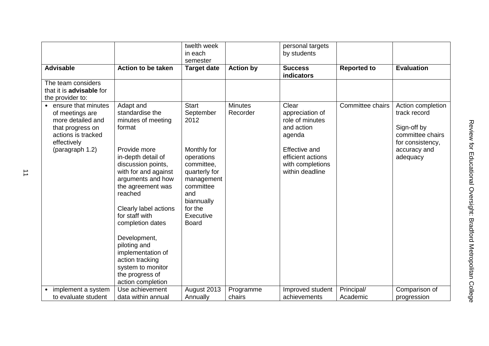|                                                                                                                                   |                                                                                                                                       | twelth week<br>in each<br>semester                                                                       |                            | personal targets<br>by students                                                  |                        |                                                                                          |
|-----------------------------------------------------------------------------------------------------------------------------------|---------------------------------------------------------------------------------------------------------------------------------------|----------------------------------------------------------------------------------------------------------|----------------------------|----------------------------------------------------------------------------------|------------------------|------------------------------------------------------------------------------------------|
| <b>Advisable</b>                                                                                                                  | <b>Action to be taken</b>                                                                                                             | <b>Target date</b>                                                                                       | <b>Action by</b>           | <b>Success</b><br>indicators                                                     | <b>Reported to</b>     | <b>Evaluation</b>                                                                        |
| The team considers<br>that it is <b>advisable</b> for<br>the provider to:                                                         |                                                                                                                                       |                                                                                                          |                            |                                                                                  |                        |                                                                                          |
| ensure that minutes<br>$\bullet$<br>of meetings are<br>more detailed and<br>that progress on<br>actions is tracked<br>effectively | Adapt and<br>standardise the<br>minutes of meeting<br>format                                                                          | <b>Start</b><br>September<br>2012                                                                        | <b>Minutes</b><br>Recorder | Clear<br>appreciation of<br>role of minutes<br>and action<br>agenda              | Committee chairs       | Action completion<br>track record<br>Sign-off by<br>committee chairs<br>for consistency, |
| (paragraph 1.2)                                                                                                                   | Provide more<br>in-depth detail of<br>discussion points,<br>with for and against<br>arguments and how<br>the agreement was<br>reached | Monthly for<br>operations<br>committee,<br>quarterly for<br>management<br>committee<br>and<br>biannually |                            | <b>Effective and</b><br>efficient actions<br>with completions<br>within deadline |                        | accuracy and<br>adequacy                                                                 |
|                                                                                                                                   | Clearly label actions<br>for staff with<br>completion dates                                                                           | for the<br>Executive<br><b>Board</b>                                                                     |                            |                                                                                  |                        |                                                                                          |
|                                                                                                                                   | Development,<br>piloting and<br>implementation of<br>action tracking<br>system to monitor<br>the progress of<br>action completion     |                                                                                                          |                            |                                                                                  |                        |                                                                                          |
| implement a system<br>to evaluate student                                                                                         | Use achievement<br>data within annual                                                                                                 | August 2013<br>Annually                                                                                  | Programme<br>chairs        | Improved student<br>achievements                                                 | Principal/<br>Academic | Comparison of                                                                            |
|                                                                                                                                   |                                                                                                                                       |                                                                                                          |                            |                                                                                  |                        | progression                                                                              |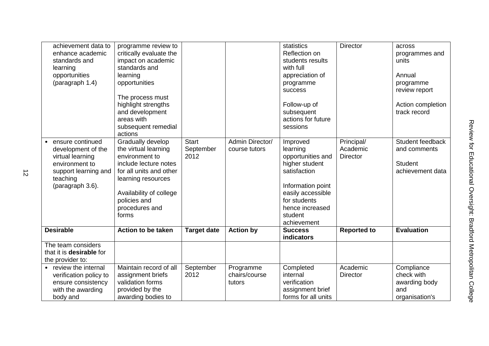| achievement data to<br>enhance academic<br>standards and<br>learning<br>opportunities<br>(paragraph 1.4)                             | programme review to<br>critically evaluate the<br>impact on academic<br>standards and<br>learning<br>opportunities<br>The process must<br>highlight strengths<br>and development<br>areas with<br>subsequent remedial<br>actions |                                   |                                      | statistics<br>Reflection on<br>students results<br>with full<br>appreciation of<br>programme<br>success<br>Follow-up of<br>subsequent<br>actions for future<br>sessions            | <b>Director</b>                           | across<br>programmes and<br>units<br>Annual<br>programme<br>review report<br>Action completion<br>track record |
|--------------------------------------------------------------------------------------------------------------------------------------|----------------------------------------------------------------------------------------------------------------------------------------------------------------------------------------------------------------------------------|-----------------------------------|--------------------------------------|------------------------------------------------------------------------------------------------------------------------------------------------------------------------------------|-------------------------------------------|----------------------------------------------------------------------------------------------------------------|
| ensure continued<br>development of the<br>virtual learning<br>environment to<br>support learning and<br>teaching<br>(paragraph 3.6). | Gradually develop<br>the virtual learning<br>environment to<br>include lecture notes<br>for all units and other<br>learning resources<br>Availability of college<br>policies and<br>procedures and<br>forms                      | <b>Start</b><br>September<br>2012 | Admin Director/<br>course tutors     | Improved<br>learning<br>opportunities and<br>higher student<br>satisfaction<br>Information point<br>easily accessible<br>for students<br>hence increased<br>student<br>achievement | Principal/<br>Academic<br><b>Director</b> | Student feedback<br>and comments<br><b>Student</b><br>achievement data                                         |
| <b>Desirable</b>                                                                                                                     | <b>Action to be taken</b>                                                                                                                                                                                                        | <b>Target date</b>                | <b>Action by</b>                     | <b>Success</b><br>indicators                                                                                                                                                       | <b>Reported to</b>                        | <b>Evaluation</b>                                                                                              |
| The team considers<br>that it is <b>desirable</b> for<br>the provider to:                                                            |                                                                                                                                                                                                                                  |                                   |                                      |                                                                                                                                                                                    |                                           |                                                                                                                |
| • review the internal<br>verification policy to<br>ensure consistency<br>with the awarding<br>body and                               | Maintain record of all<br>assignment briefs<br>validation forms<br>provided by the<br>awarding bodies to                                                                                                                         | September<br>2012                 | Programme<br>chairs/course<br>tutors | Completed<br>internal<br>verification<br>assignment brief<br>forms for all units                                                                                                   | Academic<br><b>Director</b>               | Compliance<br>check with<br>awarding body<br>and<br>organisation's                                             |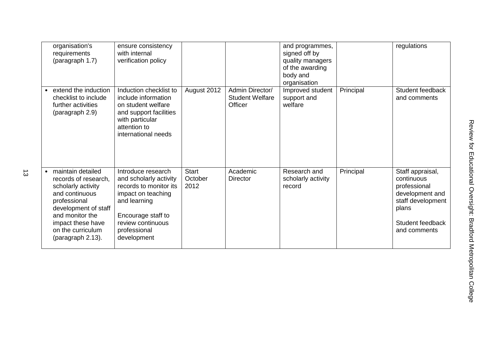| organisation's<br>requirements<br>(paragraph 1.7)                                                                                                                                                           | ensure consistency<br>with internal<br>verification policy                                                                                                                             |                                 |                                                      | and programmes,<br>signed off by<br>quality managers<br>of the awarding<br>body and<br>organisation |           | regulations                                                                                                                         |
|-------------------------------------------------------------------------------------------------------------------------------------------------------------------------------------------------------------|----------------------------------------------------------------------------------------------------------------------------------------------------------------------------------------|---------------------------------|------------------------------------------------------|-----------------------------------------------------------------------------------------------------|-----------|-------------------------------------------------------------------------------------------------------------------------------------|
| extend the induction<br>checklist to include<br>further activities<br>(paragraph 2.9)                                                                                                                       | Induction checklist to<br>include information<br>on student welfare<br>and support facilities<br>with particular<br>attention to<br>international needs                                | August 2012                     | Admin Director/<br><b>Student Welfare</b><br>Officer | Improved student<br>support and<br>welfare                                                          | Principal | Student feedback<br>and comments                                                                                                    |
| maintain detailed<br>records of research,<br>scholarly activity<br>and continuous<br>professional<br>development of staff<br>and monitor the<br>impact these have<br>on the curriculum<br>(paragraph 2.13). | Introduce research<br>and scholarly activity<br>records to monitor its<br>impact on teaching<br>and learning<br>Encourage staff to<br>review continuous<br>professional<br>development | <b>Start</b><br>October<br>2012 | Academic<br><b>Director</b>                          | Research and<br>scholarly activity<br>record                                                        | Principal | Staff appraisal,<br>continuous<br>professional<br>development and<br>staff development<br>plans<br>Student feedback<br>and comments |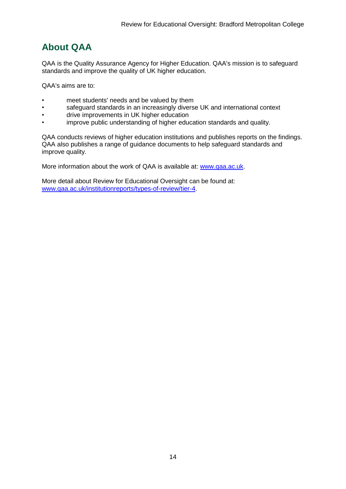## **About QAA**

QAA is the Quality Assurance Agency for Higher Education. QAA's mission is to safeguard standards and improve the quality of UK higher education.

QAA's aims are to:

- meet students' needs and be valued by them
- safeguard standards in an increasingly diverse UK and international context
- drive improvements in UK higher education
- improve public understanding of higher education standards and quality.

QAA conducts reviews of higher education institutions and publishes reports on the findings. QAA also publishes a range of guidance documents to help safeguard standards and improve quality.

More information about the work of QAA is available at: [www.qaa.ac.uk.](http://www.qaa.ac.uk/)

More detail about Review for Educational Oversight can be found at: [www.qaa.ac.uk/institutionreports/types-of-review/tier-4.](http://www.qaa.ac.uk/institutionreports/types-of-review/tier-4)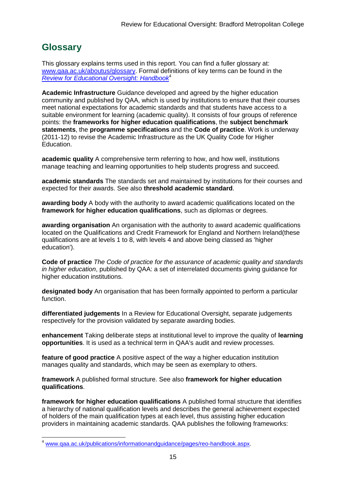## **Glossary**

This glossary explains terms used in this report. You can find a fuller glossary at: [www.qaa.ac.uk/aboutus/glossary.](http://www.qaa.ac.uk/aboutus/glossary) Formal definitions of key terms can be found in the *[Review for Educational Oversight: Handbook](http://www.qaa.ac.uk/Publications/InformationAndGuidance/Pages/REO-handbook.aspx)*<sup>4</sup>

**Academic Infrastructure** Guidance developed and agreed by the higher education community and published by QAA, which is used by institutions to ensure that their courses meet national expectations for academic standards and that students have access to a suitable environment for learning (academic quality). It consists of four groups of reference points: the **frameworks for higher education qualifications**, the **subject benchmark statements**, the **programme specifications** and the **[Code of practice](http://www.qaa.ac.uk/AboutUs/glossary/Pages/glossary-c.aspx#c2)**. Work is underway (2011-12) to revise the Academic Infrastructure as the UK [Quality Code](http://www.qaa.ac.uk/AboutUs/glossary/Pages/glossary-q.aspx#q5) for Higher Education.

**academic quality** A comprehensive term referring to how, and how well, institutions manage teaching and learning opportunities to help students progress and succeed.

**academic standards** The standards set and maintained by institutions for their courses and expected for their awards. See also **threshold academic standard**.

**awarding body** A body with the authority to award academic qualifications located on the **framework for higher education qualifications**, such as diplomas or degrees.

**awarding organisation** An organisation with the authority to award academic qualifications located on the Qualifications and Credit Framework for England and Northern Ireland(these qualifications are at levels 1 to 8, with levels 4 and above being classed as 'higher education').

**Code of practice** *The Code of practice for the assurance of academic quality and standards in higher education*, published by QAA: a set of interrelated documents giving guidance for higher education institutions.

**designated body** An organisation that has been formally appointed to perform a particular function.

**differentiated judgements** In a Review for Educational Oversight, separate judgements respectively for the provision validated by separate awarding bodies.

**enhancement** Taking deliberate steps at institutional level to improve the quality of **[learning](http://www.qaa.ac.uk/aboutus/glossary/pages/glossary-l.aspx#l1)  [opportunities](http://www.qaa.ac.uk/aboutus/glossary/pages/glossary-l.aspx#l1)**. It is used as a technical term in QAA's audit and review processes.

**feature of good practice** A positive aspect of the way a higher education institution manages quality and standards, which may be seen as exemplary to others.

**framework** A published formal structure. See also **framework for higher education qualifications**.

**framework for higher education qualifications** A published formal structure that identifies a hierarchy of national qualification levels and describes the general achievement expected of holders of the main qualification types at each level, thus assisting higher education providers in maintaining academic standards. QAA publishes the following frameworks:

**<sup>.</sup>** <sup>4</sup> [www.qaa.ac.uk/publications/informationandguidance/pages/reo-handbook.aspx.](http://www.qaa.ac.uk/publications/informationandguidance/pages/reo-handbook.aspx)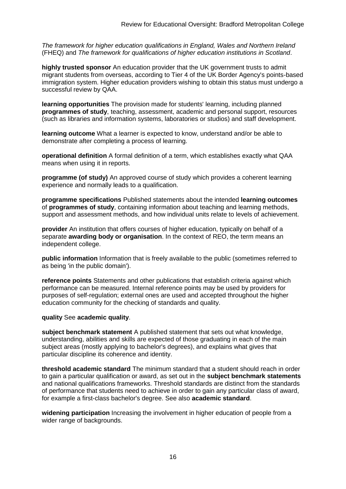*The framework for higher education qualifications in England, Wales and Northern Ireland* (FHEQ) and *The framework for qualifications of higher education institutions in Scotland*.

**highly trusted sponsor** An education provider that the UK government trusts to admit migrant students from overseas, according to Tier 4 of the UK Border Agency's points-based immigration system. Higher education providers wishing to obtain this status must undergo a successful review by QAA.

**learning opportunities** The provision made for students' learning, including planned **[programmes of study](http://newlive.qaa.ac.uk/aboutus/glossary/pages/glossary-p.aspx#p12)**, teaching, assessment, academic and personal support, resources (such as libraries and information systems, laboratories or studios) and staff development.

**learning outcome** What a learner is expected to know, understand and/or be able to demonstrate after completing a process of learning.

**operational definition** A formal definition of a term, which establishes exactly what QAA means when using it in reports.

**programme (of study)** An approved course of study which provides a coherent learning experience and normally leads to a qualification.

**programme specifications** Published statements about the intended **[learning outcomes](http://newlive.qaa.ac.uk/aboutus/glossary/pages/glossary-l.aspx#l2)** of **programmes of study**, containing information about teaching and learning methods, support and assessment methods, and how individual units relate to levels of achievement.

**provider** An institution that offers courses of higher education, typically on behalf of a separate **awarding body or organisation**. In the context of REO, the term means an independent college.

**public information** Information that is freely available to the public (sometimes referred to as being 'in the public domain').

**reference points** Statements and other publications that establish criteria against which performance can be measured. Internal reference points may be used by providers for purposes of self-regulation; external ones are used and accepted throughout the higher education community for the checking of standards and quality.

#### **quality** See **academic quality**.

**subject benchmark statement** A published statement that sets out what knowledge, understanding, abilities and skills are expected of those graduating in each of the main subject areas (mostly applying to [bachelor's degrees\)](http://newlive.qaa.ac.uk/aboutus/glossary/pages/glossary-b/aspx#b1), and explains what gives that particular discipline its coherence and identity.

**threshold academic standard** The minimum standard that a student should reach in order to gain a particular qualification or award, as set out in the **[subject benchmark statements](http://newlive.qaa.ac.uk/aboutus/glossary/pages/glossary-s.aspx#s7)** and national [qualifications frameworks.](http://newlive.qaa.ac.uk/aboutus/glossary/pages/glossary-q.aspx#q3) Threshold standards are distinct from the standards of performance that students need to achieve in order to gain any particular class of award, for example a first-class bachelor's degree. See also **[academic standard](http://newlive.qaa.ac.uk/aboutus/glossary/pages/glossary-a.aspx#a3)**.

**widening participation** Increasing the involvement in higher education of people from a wider range of backgrounds.